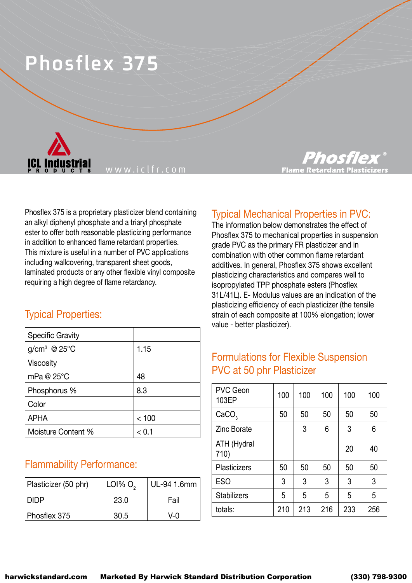# **Phosflex 375**



www.iclfr.com

Phosflex 375 is a proprietary plasticizer blend containing an alkyl diphenyl phosphate and a triaryl phosphate ester to offer both reasonable plasticizing performance in addition to enhanced flame retardant properties. This mixture is useful in a number of PVC applications including wallcovering, transparent sheet goods, laminated products or any other flexible vinyl composite requiring a high degree of flame retardancy.

#### Typical Properties:

| <b>Specific Gravity</b> |       |
|-------------------------|-------|
| $q/cm^3$ @ 25°C         | 1.15  |
| Viscosity               |       |
| mPa @ $25^{\circ}$ C    | 48    |
| Phosphorus %            | 8.3   |
| Color                   |       |
| <b>APHA</b>             | < 100 |
| Moisture Content %      | 1 1 > |

#### Flammability Performance:

| Plasticizer (50 phr) | LOI% O <sub>2</sub> | UL-94 1.6mm  |
|----------------------|---------------------|--------------|
| DIDP.                | 23.0                | Fail         |
| Phosflex 375         | 30.5                | $V - \Omega$ |



# Typical Mechanical Properties in PVC:

The information below demonstrates the effect of Phosflex 375 to mechanical properties in suspension grade PVC as the primary FR plasticizer and in combination with other common flame retardant additives. In general, Phosflex 375 shows excellent plasticizing characteristics and compares well to isopropylated TPP phosphate esters (Phosflex 31L/41L). E- Modulus values are an indication of the plasticizing efficiency of each plasticizer (the tensile strain of each composite at 100% elongation; lower value - better plasticizer).

## Formulations for Flexible Suspension PVC at 50 phr Plasticizer

| <b>PVC Geon</b><br>103EP | 100 | 100 | 100 | 100 | 100 |
|--------------------------|-----|-----|-----|-----|-----|
| CaCO <sub>3</sub>        | 50  | 50  | 50  | 50  | 50  |
| <b>Zinc Borate</b>       |     | 3   | 6   | 3   | 6   |
| ATH (Hydral<br>710)      |     |     |     | 20  | 40  |
| <b>Plasticizers</b>      | 50  | 50  | 50  | 50  | 50  |
| <b>ESO</b>               | 3   | 3   | 3   | 3   | 3   |
| <b>Stabilizers</b>       | 5   | 5   | 5   | 5   | 5   |
| totals:                  | 210 | 213 | 216 | 233 | 256 |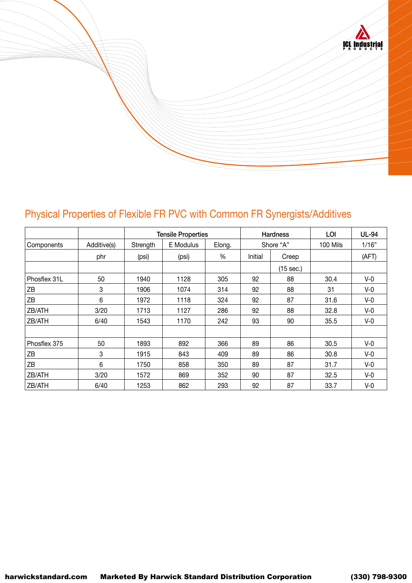

# Physical Properties of Flexible FR PVC with Common FR Synergists/Additives

|              |             | <b>Tensile Properties</b> |           | <b>Hardness</b> |           | LOI       | <b>UL-94</b> |       |
|--------------|-------------|---------------------------|-----------|-----------------|-----------|-----------|--------------|-------|
| Components   | Additive(s) | Strength                  | E Modulus | Elong.          | Shore "A" |           | 100 Mils     | 1/16" |
|              | phr         | (psi)                     | (psi)     | %               | Initial   | Creep     |              | (AFT) |
|              |             |                           |           |                 |           | (15 sec.) |              |       |
| Phosflex 31L | 50          | 1940                      | 1128      | 305             | 92        | 88        | 30.4         | $V-0$ |
| ΖB           | 3           | 1906                      | 1074      | 314             | 92        | 88        | 31           | $V-0$ |
| ΖB           | 6           | 1972                      | 1118      | 324             | 92        | 87        | 31.6         | $V-0$ |
| ZB/ATH       | 3/20        | 1713                      | 1127      | 286             | 92        | 88        | 32.8         | $V-0$ |
| ZB/ATH       | 6/40        | 1543                      | 1170      | 242             | 93        | 90        | 35.5         | $V-0$ |
|              |             |                           |           |                 |           |           |              |       |
| Phosflex 375 | 50          | 1893                      | 892       | 366             | 89        | 86        | 30.5         | $V-0$ |
| ΖB           | 3           | 1915                      | 843       | 409             | 89        | 86        | 30.8         | $V-0$ |
| ZB           | 6           | 1750                      | 858       | 350             | 89        | 87        | 31.7         | $V-0$ |
| ZB/ATH       | 3/20        | 1572                      | 869       | 352             | 90        | 87        | 32.5         | $V-0$ |
| ZB/ATH       | 6/40        | 1253                      | 862       | 293             | 92        | 87        | 33.7         | $V-0$ |